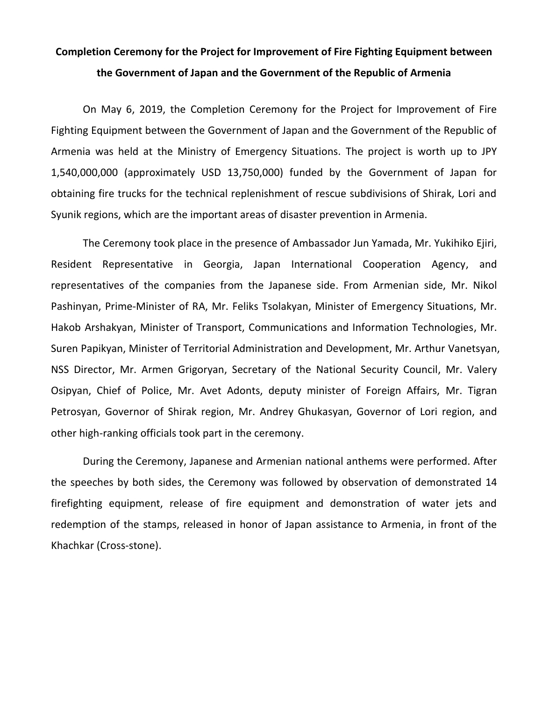## **Completion Ceremony for the Project for Improvement of Fire Fighting Equipment between the Government of Japan and the Government of the Republic of Armenia**

On May 6, 2019, the Completion Ceremony for the Project for Improvement of Fire Fighting Equipment between the Government of Japan and the Government of the Republic of Armenia was held at the Ministry of Emergency Situations. The project is worth up to JPY 1,540,000,000 (approximately USD 13,750,000) funded by the Government of Japan for obtaining fire trucks for the technical replenishment of rescue subdivisions of Shirak, Lori and Syunik regions, which are the important areas of disaster prevention in Armenia.

The Ceremony took place in the presence of Ambassador Jun Yamada, Mr. Yukihiko Ejiri, Resident Representative in Georgia, Japan International Cooperation Agency, and representatives of the companies from the Japanese side. From Armenian side, Mr. Nikol Pashinyan, Prime-Minister of RA, Mr. Feliks Tsolakyan, Minister of Emergency Situations, Mr. Hakob Arshakyan, Minister of Transport, Communications and Information Technologies, Mr. Suren Papikyan, Minister of Territorial Administration and Development, Mr. Arthur Vanetsyan, NSS Director, Mr. Armen Grigoryan, Secretary of the National Security Council, Mr. Valery Osipyan, Chief of Police, Mr. Avet Adonts, deputy minister of Foreign Affairs, Mr. Tigran Petrosyan, Governor of Shirak region, Mr. Andrey Ghukasyan, Governor of Lori region, and other high-ranking officials took part in the ceremony.

During the Ceremony, Japanese and Armenian national anthems were performed. After the speeches by both sides, the Ceremony was followed by observation of demonstrated 14 firefighting equipment, release of fire equipment and demonstration of water jets and redemption of the stamps, released in honor of Japan assistance to Armenia, in front of the Khachkar (Cross-stone).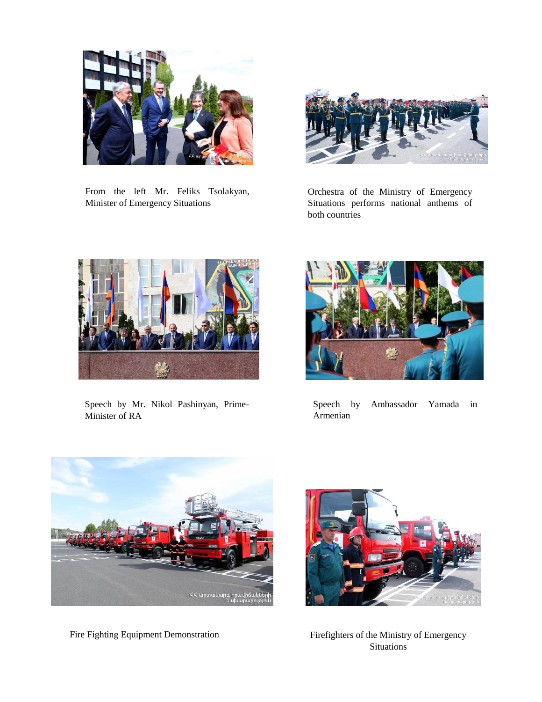

From the left Mr. Feliks Tsolakyan, Minister of Emergency Situations



Orchestra of the Ministry of Emergency Situations performs national anthems of both countries



Speech by Mr. Nikol Pashinyan, Prime-Minister of RA



Speech by Ambassador Yamada in Armenian



Fire Fighting Equipment Demonstration



Firefighters of the Ministry of Emergency **Situations**